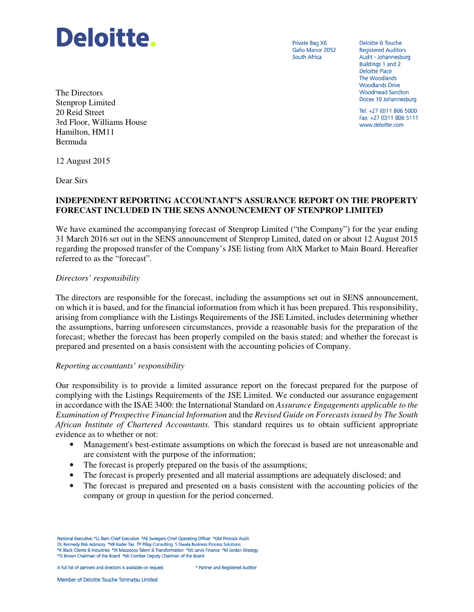

Private Bag X6 Gallo Manor 2052 South Africa

Deloitte & Touche **Registered Auditors** Audit - Johannesburg Buildings 1 and 2 **Deloitte Place** The Woodlands **Woodlands Drive Woodmead Sandton** Docex 10 Johannesburg

Tel: +27 (0)11 806 5000 Fax: +27 (0)11 806 5111 www.deloitte.com

The Directors Stenprop Limited 20 Reid Street 3rd Floor, Williams House Hamilton, HM11 Bermuda

12 August 2015

Dear Sirs

## **INDEPENDENT REPORTING ACCOUNTANT'S ASSURANCE REPORT ON THE PROPERTY FORECAST INCLUDED IN THE SENS ANNOUNCEMENT OF STENPROP LIMITED**

We have examined the accompanying forecast of Stenprop Limited ("the Company") for the year ending 31 March 2016 set out in the SENS announcement of Stenprop Limited, dated on or about 12 August 2015 regarding the proposed transfer of the Company's JSE listing from AltX Market to Main Board. Hereafter referred to as the "forecast".

## *Directors' responsibility*

The directors are responsible for the forecast, including the assumptions set out in SENS announcement, on which it is based, and for the financial information from which it has been prepared. This responsibility, arising from compliance with the Listings Requirements of the JSE Limited, includes determining whether the assumptions, barring unforeseen circumstances, provide a reasonable basis for the preparation of the forecast; whether the forecast has been properly compiled on the basis stated; and whether the forecast is prepared and presented on a basis consistent with the accounting policies of Company.

## *Reporting accountants' responsibility*

Our responsibility is to provide a limited assurance report on the forecast prepared for the purpose of complying with the Listings Requirements of the JSE Limited. We conducted our assurance engagement in accordance with the ISAE 3400: the International Standard on *Assurance Engagements applicable to the Examination of Prospective Financial Information* and the *Revised Guide on Forecasts issued by The South African Institute of Chartered Accountants.* This standard requires us to obtain sufficient appropriate evidence as to whether or not:

- Management's best-estimate assumptions on which the forecast is based are not unreasonable and are consistent with the purpose of the information;
- The forecast is properly prepared on the basis of the assumptions;
- The forecast is properly presented and all material assumptions are adequately disclosed; and
- The forecast is prepared and presented on a basis consistent with the accounting policies of the company or group in question for the period concerned.

National Executive: \*LL Bam Chief Executive \*AE Swiegers Chief Operating Officer \*GM Pinnock Audit DL Kennedy Risk Advisory \*NB Kader Tax TP Pillay Consulting S Gwala Business Process Solutions \*K Black Clients & Industries \*JK Mazzocco Talent & Transformation \*MJ Jarvis Finance \*M Jordan Strategy \*TJ Brown Chairman of the Board \*MJ Comber Deputy Chairman of the Board